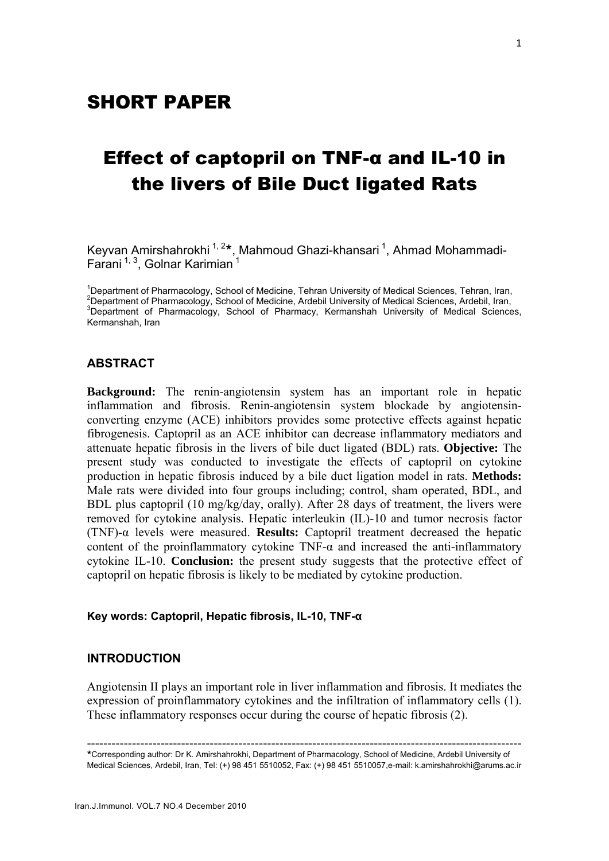# Effect of captopril on TNF-α and IL-10 in the livers of Bile Duct ligated Rats

Keyvan Amirshahrokhi <sup>1, 2</sup>\*, Mahmoud Ghazi-khansari <sup>1</sup>, Ahmad Mohammadi-Farani  $1, 3$ , Golnar Karimian  $1$ 

<sup>1</sup>Department of Pharmacology, School of Medicine, Tehran University of Medical Sciences, Tehran, Iran, 2<br>Penertment of Pharmacology, School of Medicine, Ardebil University of Medical Sciences, Ardebil, Iran,  ${}^{2}$ Department of Pharmacology, School of Medicine, Ardebil University of Medical Sciences, Ardebil, Iran, <sup>3</sup>Department of Pharmacology, School of Pharmacy, Kermanshah University of Medical Sciences, Kermanshah, Iran

# **ABSTRACT**

**Background:** The renin-angiotensin system has an important role in hepatic inflammation and fibrosis. Renin-angiotensin system blockade by angiotensinconverting enzyme (ACE) inhibitors provides some protective effects against hepatic fibrogenesis. Captopril as an ACE inhibitor can decrease inflammatory mediators and attenuate hepatic fibrosis in the livers of bile duct ligated (BDL) rats. **Objective:** The present study was conducted to investigate the effects of captopril on cytokine production in hepatic fibrosis induced by a bile duct ligation model in rats. **Methods:** Male rats were divided into four groups including; control, sham operated, BDL, and BDL plus captopril (10 mg/kg/day, orally). After 28 days of treatment, the livers were removed for cytokine analysis. Hepatic interleukin (IL)-10 and tumor necrosis factor (TNF)-α levels were measured. **Results:** Captopril treatment decreased the hepatic content of the proinflammatory cytokine TNF- $\alpha$  and increased the anti-inflammatory cytokine IL-10. **Conclusion:** the present study suggests that the protective effect of captopril on hepatic fibrosis is likely to be mediated by cytokine production.

#### **Key words: Captopril, Hepatic fibrosis, IL-10, TNF-α**

### **INTRODUCTION**

Angiotensin II plays an important role in liver inflammation and fibrosis. It mediates the expression of proinflammatory cytokines and the infiltration of inflammatory cells (1). These inflammatory responses occur during the course of hepatic fibrosis (2).

<sup>----------------------------------------------------------------------------------------------------------</sup> <sup>º</sup>Corresponding author: Dr K. Amirshahrokhi, Department of Pharmacology, School of Medicine, Ardebil University of Medical Sciences, Ardebil, Iran, Tel: (+) 98 451 5510052, Fax: (+) 98 451 5510057,e-mail: k.amirshahrokhi@arums.ac.ir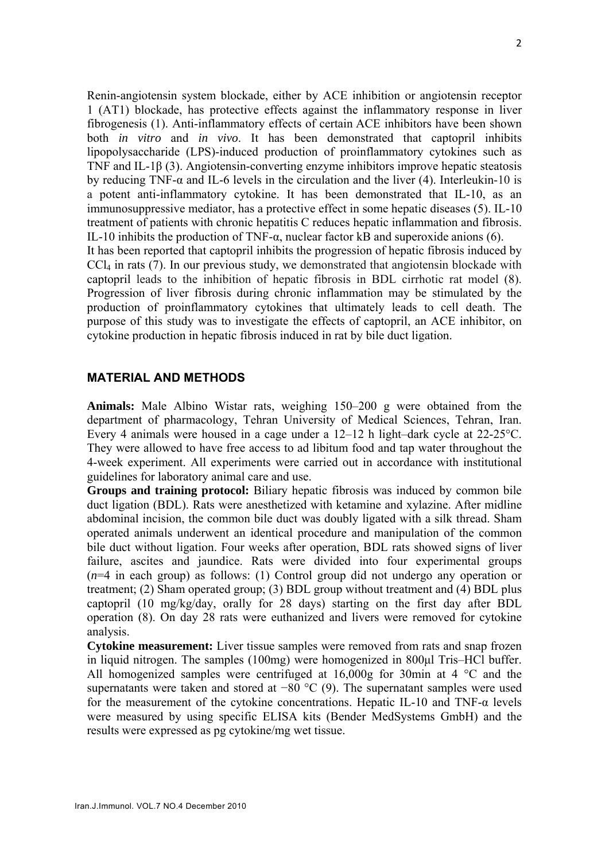Renin-angiotensin system blockade, either by ACE inhibition or angiotensin receptor 1 (AT1) blockade, has protective effects against the inflammatory response in liver fibrogenesis (1). Anti-inflammatory effects of certain ACE inhibitors have been shown both *in vitro* and *in vivo*. It has been demonstrated that captopril inhibits lipopolysaccharide (LPS)-induced production of proinflammatory cytokines such as TNF and IL-1β (3). Angiotensin-converting enzyme inhibitors improve hepatic steatosis by reducing TNF- $\alpha$  and IL-6 levels in the circulation and the liver (4). Interleukin-10 is a potent anti-inflammatory cytokine. It has been demonstrated that IL-10, as an immunosuppressive mediator, has a protective effect in some hepatic diseases (5). IL-10 treatment of patients with chronic hepatitis C reduces hepatic inflammation and fibrosis. IL-10 inhibits the production of TNF- $\alpha$ , nuclear factor kB and superoxide anions (6).

It has been reported that captopril inhibits the progression of hepatic fibrosis induced by  $CCl<sub>4</sub>$  in rats (7). In our previous study, we demonstrated that angiotensin blockade with captopril leads to the inhibition of hepatic fibrosis in BDL cirrhotic rat model (8). Progression of liver fibrosis during chronic inflammation may be stimulated by the production of proinflammatory cytokines that ultimately leads to cell death. The purpose of this study was to investigate the effects of captopril, an ACE inhibitor, on cytokine production in hepatic fibrosis induced in rat by bile duct ligation.

## **MATERIAL AND METHODS**

**Animals:** Male Albino Wistar rats, weighing 150–200 g were obtained from the department of pharmacology, Tehran University of Medical Sciences, Tehran, Iran. Every 4 animals were housed in a cage under a 12–12 h light–dark cycle at 22-25°C. They were allowed to have free access to ad libitum food and tap water throughout the 4-week experiment. All experiments were carried out in accordance with institutional guidelines for laboratory animal care and use.

**Groups and training protocol:** Biliary hepatic fibrosis was induced by common bile duct ligation (BDL). Rats were anesthetized with ketamine and xylazine. After midline abdominal incision, the common bile duct was doubly ligated with a silk thread. Sham operated animals underwent an identical procedure and manipulation of the common bile duct without ligation. Four weeks after operation, BDL rats showed signs of liver failure, ascites and jaundice. Rats were divided into four experimental groups (*n*=4 in each group) as follows: (1) Control group did not undergo any operation or treatment; (2) Sham operated group; (3) BDL group without treatment and (4) BDL plus captopril (10 mg/kg/day, orally for 28 days) starting on the first day after BDL operation (8). On day 28 rats were euthanized and livers were removed for cytokine analysis.

**Cytokine measurement:** Liver tissue samples were removed from rats and snap frozen in liquid nitrogen. The samples (100mg) were homogenized in 800μl Tris–HCl buffer. All homogenized samples were centrifuged at  $16,000g$  for 30min at 4  $^{\circ}$ C and the supernatants were taken and stored at −80 °C (9). The supernatant samples were used for the measurement of the cytokine concentrations. Hepatic IL-10 and TNF-α levels were measured by using specific ELISA kits (Bender MedSystems GmbH) and the results were expressed as pg cytokine/mg wet tissue.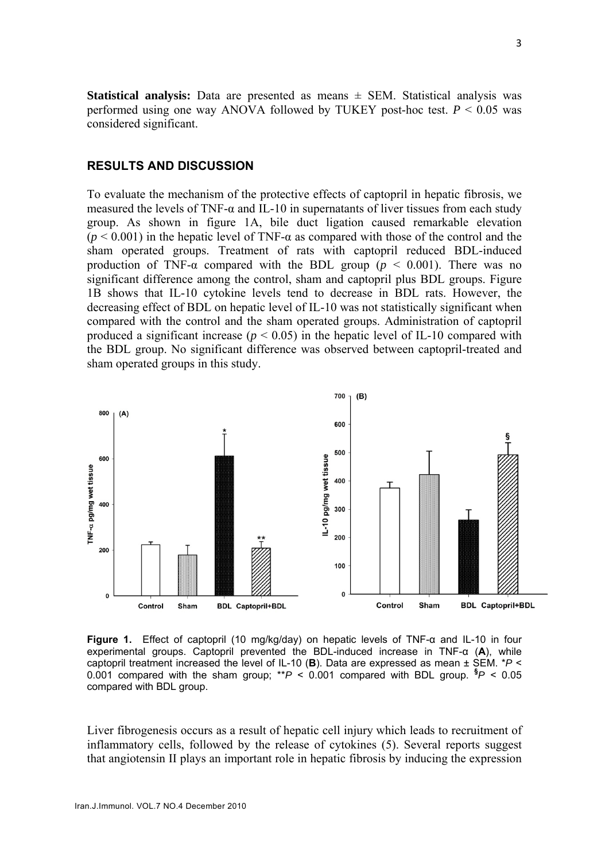**Statistical analysis:** Data are presented as means ± SEM. Statistical analysis was performed using one way ANOVA followed by TUKEY post-hoc test.  $P < 0.05$  was considered significant.

# **RESULTS AND DISCUSSION**

To evaluate the mechanism of the protective effects of captopril in hepatic fibrosis, we measured the levels of TNF- $\alpha$  and IL-10 in supernatants of liver tissues from each study group. As shown in figure 1A, bile duct ligation caused remarkable elevation ( $p < 0.001$ ) in the hepatic level of TNF- $\alpha$  as compared with those of the control and the sham operated groups. Treatment of rats with captopril reduced BDL-induced production of TNF- $\alpha$  compared with the BDL group ( $p \le 0.001$ ). There was no significant difference among the control, sham and captopril plus BDL groups. Figure 1B shows that IL-10 cytokine levels tend to decrease in BDL rats. However, the decreasing effect of BDL on hepatic level of IL-10 was not statistically significant when compared with the control and the sham operated groups. Administration of captopril produced a significant increase ( $p < 0.05$ ) in the hepatic level of IL-10 compared with the BDL group. No significant difference was observed between captopril-treated and sham operated groups in this study.



**Figure 1.** Effect of captopril (10 mg/kg/day) on hepatic levels of TNF-α and IL-10 in four experimental groups. Captopril prevented the BDL-induced increase in TNF-α (**A**), while captopril treatment increased the level of IL-10 (**B**). Data are expressed as mean ± SEM. \**P* < 0.001 compared with the sham group; \*\**P* < 0.001 compared with BDL group. **§** *P* < 0.05 compared with BDL group.

Liver fibrogenesis occurs as a result of hepatic cell injury which leads to recruitment of inflammatory cells, followed by the release of cytokines (5). Several reports suggest that angiotensin II plays an important role in hepatic fibrosis by inducing the expression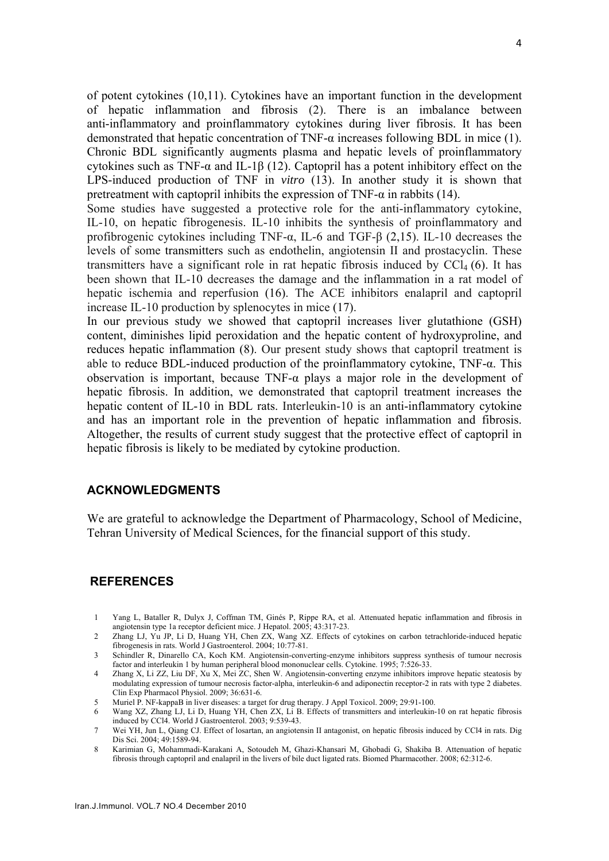of potent cytokines (10,11). Cytokines have an important function in the development of hepatic inflammation and fibrosis (2). There is an imbalance between anti-inflammatory and proinflammatory cytokines during liver fibrosis. It has been demonstrated that hepatic concentration of TNF- $\alpha$  increases following BDL in mice (1). Chronic BDL significantly augments plasma and hepatic levels of proinflammatory cytokines such as TNF- $\alpha$  and IL-1 $\beta$  (12). Captopril has a potent inhibitory effect on the LPS-induced production of TNF in *vitro* (13). In another study it is shown that pretreatment with captopril inhibits the expression of TNF- $\alpha$  in rabbits (14).

Some studies have suggested a protective role for the anti-inflammatory cytokine, IL-10, on hepatic fibrogenesis. IL-10 inhibits the synthesis of proinflammatory and profibrogenic cytokines including TNF- $\alpha$ , IL-6 and TGF- $\beta$  (2,15). IL-10 decreases the levels of some transmitters such as endothelin, angiotensin II and prostacyclin. These transmitters have a significant role in rat hepatic fibrosis induced by  $\text{CCl}_4$  (6). It has been shown that IL-10 decreases the damage and the inflammation in a rat model of hepatic ischemia and reperfusion (16). The ACE inhibitors enalapril and captopril increase IL-10 production by splenocytes in mice (17).

In our previous study we showed that captopril increases liver glutathione (GSH) content, diminishes lipid peroxidation and the hepatic content of hydroxyproline, and reduces hepatic inflammation (8). Our present study shows that captopril treatment is able to reduce BDL-induced production of the proinflammatory cytokine, TNF-α. This observation is important, because TNF-α plays a major role in the development of hepatic fibrosis. In addition, we demonstrated that captopril treatment increases the hepatic content of IL-10 in BDL rats. Interleukin-10 is an anti-inflammatory cytokine and has an important role in the prevention of hepatic inflammation and fibrosis. Altogether, the results of current study suggest that the protective effect of captopril in hepatic fibrosis is likely to be mediated by cytokine production.

#### **ACKNOWLEDGMENTS**

We are grateful to acknowledge the Department of Pharmacology, School of Medicine, Tehran University of Medical Sciences, for the financial support of this study.

#### **REFERENCES**

- 1 Yang L, Bataller R, Dulyx J, Coffman TM, Ginés P, Rippe RA, et al. Attenuated hepatic inflammation and fibrosis in angiotensin type 1a receptor deficient mice. J Hepatol. 2005; 43:317-23.
- 2 Zhang LJ, Yu JP, Li D, Huang YH, Chen ZX, Wang XZ. Effects of cytokines on carbon tetrachloride-induced hepatic fibrogenesis in rats. World J Gastroenterol. 2004; 10:77-81.

3 Schindler R, Dinarello CA, Koch KM. Angiotensin-converting-enzyme inhibitors suppress synthesis of tumour necrosis factor and interleukin 1 by human peripheral blood mononuclear cells. Cytokine. 1995; 7:526-33.

- 4 Zhang X, Li ZZ, Liu DF, Xu X, Mei ZC, Shen W. Angiotensin-converting enzyme inhibitors improve hepatic steatosis by modulating expression of tumour necrosis factor-alpha, interleukin-6 and adiponectin receptor-2 in rats with type 2 diabetes. Clin Exp Pharmacol Physiol. 2009; 36:631-6.
- 5 Muriel P. NF-kappaB in liver diseases: a target for drug therapy. J Appl Toxicol. 2009; 29:91-100.
- 6 Wang XZ, Zhang LJ, Li D, Huang YH, Chen ZX, Li B. Effects of transmitters and interleukin-10 on rat hepatic fibrosis induced by CCl4. World J Gastroenterol. 2003; 9:539-43.
- 7 Wei YH, Jun L, Qiang CJ. Effect of losartan, an angiotensin II antagonist, on hepatic fibrosis induced by CCl4 in rats. Dig Dis Sci. 2004; 49:1589-94.
- 8 Karimian G, Mohammadi-Karakani A, Sotoudeh M, Ghazi-Khansari M, Ghobadi G, Shakiba B. Attenuation of hepatic fibrosis through captopril and enalapril in the livers of bile duct ligated rats. Biomed Pharmacother. 2008; 62:312-6.